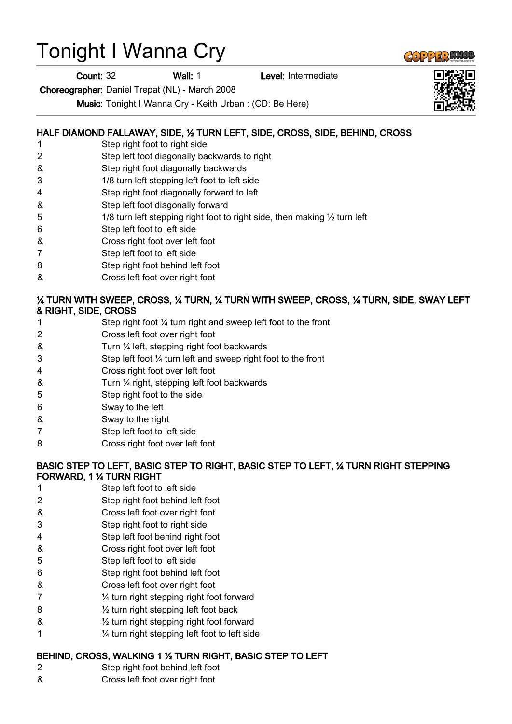# Tonight I Wanna Cry

**Count: 32 Wall: 1** Level: Intermediate

Choreographer: Daniel Trepat (NL) - March 2008

Music: Tonight I Wanna Cry - Keith Urban : (CD: Be Here)

## HALF DIAMOND FALLAWAY, SIDE, ½ TURN LEFT, SIDE, CROSS, SIDE, BEHIND, CROSS

- 1 Step right foot to right side
- 2 Step left foot diagonally backwards to right
- & Step right foot diagonally backwards
- 3 1/8 turn left stepping left foot to left side
- 4 Step right foot diagonally forward to left
- & Step left foot diagonally forward
- 5 1/8 turn left stepping right foot to right side, then making  $\frac{1}{2}$  turn left
- 6 Step left foot to left side
- & Cross right foot over left foot
- 7 Step left foot to left side
- 8 Step right foot behind left foot
- & Cross left foot over right foot

#### ¼ TURN WITH SWEEP, CROSS, ¼ TURN, ¼ TURN WITH SWEEP, CROSS, ¼ TURN, SIDE, SWAY LEFT & RIGHT, SIDE, CROSS

- 1 Step right foot ¼ turn right and sweep left foot to the front
- 2 Cross left foot over right foot
- & Turn ¼ left, stepping right foot backwards
- 3 Step left foot ¼ turn left and sweep right foot to the front
- 4 Cross right foot over left foot
- & Turn ¼ right, stepping left foot backwards
- 5 Step right foot to the side
- 6 Sway to the left
- & Sway to the right
- 7 Step left foot to left side
- 8 Cross right foot over left foot

#### BASIC STEP TO LEFT, BASIC STEP TO RIGHT, BASIC STEP TO LEFT, ¼ TURN RIGHT STEPPING FORWARD, 1 ¼ TURN RIGHT

- 1 Step left foot to left side
- 2 Step right foot behind left foot
- & Cross left foot over right foot
- 3 Step right foot to right side
- 4 Step left foot behind right foot
- & Cross right foot over left foot
- 5 Step left foot to left side
- 6 Step right foot behind left foot
- & Cross left foot over right foot
- 7 ¼ turn right stepping right foot forward
- 8 ½ turn right stepping left foot back
- $\&$   $\frac{1}{2}$  turn right stepping right foot forward
- 1 ¼ turn right stepping left foot to left side

#### BEHIND, CROSS, WALKING 1 ½ TURN RIGHT, BASIC STEP TO LEFT

- 2 Step right foot behind left foot
- & Cross left foot over right foot